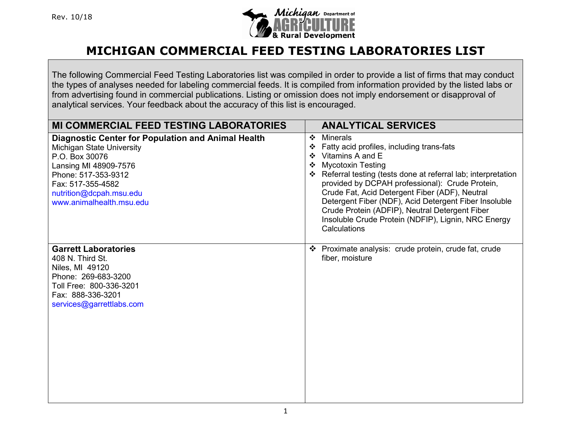

The following Commercial Feed Testing Laboratories list was compiled in order to provide a list of firms that may conduct the types of analyses needed for labeling commercial feeds. It is compiled from information provided by the listed labs or from advertising found in commercial publications. Listing or omission does not imply endorsement or disapproval of analytical services. Your feedback about the accuracy of this list is encouraged.

| <b>MI COMMERCIAL FEED TESTING LABORATORIES</b>                                                                                                                                                                                       | <b>ANALYTICAL SERVICES</b>                                                                                                                                                                                                                                                                                                                                                                                                                                               |
|--------------------------------------------------------------------------------------------------------------------------------------------------------------------------------------------------------------------------------------|--------------------------------------------------------------------------------------------------------------------------------------------------------------------------------------------------------------------------------------------------------------------------------------------------------------------------------------------------------------------------------------------------------------------------------------------------------------------------|
| <b>Diagnostic Center for Population and Animal Health</b><br>Michigan State University<br>P.O. Box 30076<br>Lansing MI 48909-7576<br>Phone: 517-353-9312<br>Fax: 517-355-4582<br>nutrition@dcpah.msu.edu<br>www.animalhealth.msu.edu | <b>Minerals</b><br>❖<br>Fatty acid profiles, including trans-fats<br>Vitamins A and E<br><b>Mycotoxin Testing</b><br>Referral testing (tests done at referral lab; interpretation<br>provided by DCPAH professional): Crude Protein,<br>Crude Fat, Acid Detergent Fiber (ADF), Neutral<br>Detergent Fiber (NDF), Acid Detergent Fiber Insoluble<br>Crude Protein (ADFIP), Neutral Detergent Fiber<br>Insoluble Crude Protein (NDFIP), Lignin, NRC Energy<br>Calculations |
| <b>Garrett Laboratories</b><br>408 N. Third St.<br>Niles, MI 49120<br>Phone: 269-683-3200<br>Toll Free: 800-336-3201<br>Fax: 888-336-3201<br>services@garrettlabs.com                                                                | Proximate analysis: crude protein, crude fat, crude<br>$\mathbf{A}$<br>fiber, moisture                                                                                                                                                                                                                                                                                                                                                                                   |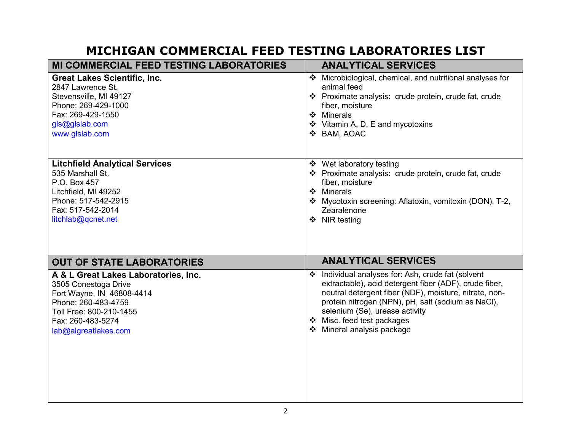| <b>MI COMMERCIAL FEED TESTING LABORATORIES</b>                                                                                                                                           | <b>ANALYTICAL SERVICES</b>                                                                                                                                                                                                                                                                                                 |
|------------------------------------------------------------------------------------------------------------------------------------------------------------------------------------------|----------------------------------------------------------------------------------------------------------------------------------------------------------------------------------------------------------------------------------------------------------------------------------------------------------------------------|
| <b>Great Lakes Scientific, Inc.</b><br>2847 Lawrence St.<br>Stevensville, MI 49127<br>Phone: 269-429-1000<br>Fax: 269-429-1550<br>gls@glslab.com<br>www.glslab.com                       | Microbiological, chemical, and nutritional analyses for<br>❖<br>animal feed<br>❖ Proximate analysis: crude protein, crude fat, crude<br>fiber, moisture<br>❖ Minerals<br>❖ Vitamin A, D, E and mycotoxins<br>❖ BAM, AOAC                                                                                                   |
| <b>Litchfield Analytical Services</b><br>535 Marshall St.<br>P.O. Box 457<br>Litchfield, MI 49252<br>Phone: 517-542-2915<br>Fax: 517-542-2014<br>litchlab@qcnet.net                      | ❖ Wet laboratory testing<br>❖ Proximate analysis: crude protein, crude fat, crude<br>fiber, moisture<br>❖ Minerals<br>❖ Mycotoxin screening: Aflatoxin, vomitoxin (DON), T-2,<br>Zearalenone<br>❖ NIR testing                                                                                                              |
| <b>OUT OF STATE LABORATORIES</b>                                                                                                                                                         | <b>ANALYTICAL SERVICES</b>                                                                                                                                                                                                                                                                                                 |
| A & L Great Lakes Laboratories, Inc.<br>3505 Conestoga Drive<br>Fort Wayne, IN 46808-4414<br>Phone: 260-483-4759<br>Toll Free: 800-210-1455<br>Fax: 260-483-5274<br>lab@algreatlakes.com | ❖ Individual analyses for: Ash, crude fat (solvent<br>extractable), acid detergent fiber (ADF), crude fiber,<br>neutral detergent fiber (NDF), moisture, nitrate, non-<br>protein nitrogen (NPN), pH, salt (sodium as NaCl),<br>selenium (Se), urease activity<br>❖ Misc. feed test packages<br>❖ Mineral analysis package |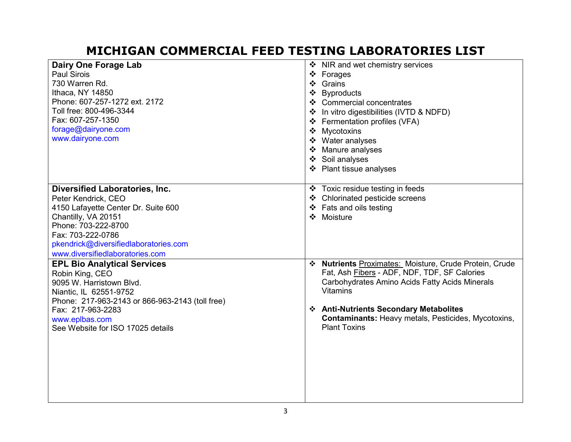| <b>Dairy One Forage Lab</b><br><b>Paul Sirois</b><br>730 Warren Rd.<br>Ithaca, NY 14850<br>Phone: 607-257-1272 ext. 2172<br>Toll free: 800-496-3344<br>Fax: 607-257-1350<br>forage@dairyone.com<br>www.dairyone.com                                | ❖ NIR and wet chemistry services<br>❖ Forages<br>❖ Grains<br>❖ Byproducts<br>❖ Commercial concentrates<br>❖ In vitro digestibilities (IVTD & NDFD)<br>❖ Fermentation profiles (VFA)<br>Mycotoxins<br>❖ Water analyses<br>Manure analyses<br>❖ Soil analyses<br>❖ Plant tissue analyses                               |
|----------------------------------------------------------------------------------------------------------------------------------------------------------------------------------------------------------------------------------------------------|----------------------------------------------------------------------------------------------------------------------------------------------------------------------------------------------------------------------------------------------------------------------------------------------------------------------|
| <b>Diversified Laboratories, Inc.</b><br>Peter Kendrick, CEO<br>4150 Lafayette Center Dr. Suite 600<br>Chantilly, VA 20151<br>Phone: 703-222-8700<br>Fax: 703-222-0786<br>pkendrick@diversifiedlaboratories.com<br>www.diversifiedlaboratories.com | ❖ Toxic residue testing in feeds<br>❖ Chlorinated pesticide screens<br>❖ Fats and oils testing<br>❖ Moisture                                                                                                                                                                                                         |
| <b>EPL Bio Analytical Services</b><br>Robin King, CEO<br>9095 W. Harristown Blvd.<br>Niantic, IL 62551-9752<br>Phone: 217-963-2143 or 866-963-2143 (toll free)<br>Fax: 217-963-2283<br>www.eplbas.com<br>See Website for ISO 17025 details         | <b>Nutrients</b> Proximates: Moisture, Crude Protein, Crude<br>❖<br>Fat, Ash Fibers - ADF, NDF, TDF, SF Calories<br>Carbohydrates Amino Acids Fatty Acids Minerals<br><b>Vitamins</b><br>❖ Anti-Nutrients Secondary Metabolites<br><b>Contaminants: Heavy metals, Pesticides, Mycotoxins,</b><br><b>Plant Toxins</b> |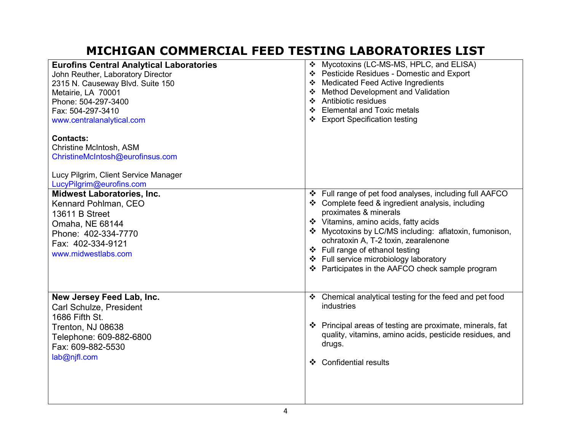| <b>Eurofins Central Analytical Laboratories</b> | ❖ Mycotoxins (LC-MS-MS, HPLC, and ELISA)                  |
|-------------------------------------------------|-----------------------------------------------------------|
| John Reuther, Laboratory Director               | ❖ Pesticide Residues - Domestic and Export                |
| 2315 N. Causeway Blvd. Suite 150                | ❖ Medicated Feed Active Ingredients                       |
| Metairie, LA 70001                              | ❖ Method Development and Validation                       |
| Phone: 504-297-3400                             | ❖ Antibiotic residues                                     |
| Fax: 504-297-3410                               | ❖ Elemental and Toxic metals                              |
| www.centralanalytical.com                       | ❖ Export Specification testing                            |
| <b>Contacts:</b>                                |                                                           |
| Christine McIntosh, ASM                         |                                                           |
| ChristineMcIntosh@eurofinsus.com                |                                                           |
| Lucy Pilgrim, Client Service Manager            |                                                           |
| LucyPilgrim@eurofins.com                        |                                                           |
| <b>Midwest Laboratories, Inc.</b>               | ❖ Full range of pet food analyses, including full AAFCO   |
| Kennard Pohlman, CEO                            | ❖ Complete feed & ingredient analysis, including          |
| 13611 B Street                                  | proximates & minerals                                     |
| Omaha, NE 68144                                 | ❖ Vitamins, amino acids, fatty acids                      |
| Phone: 402-334-7770                             | ❖ Mycotoxins by LC/MS including: aflatoxin, fumonison,    |
| Fax: 402-334-9121                               | ochratoxin A, T-2 toxin, zearalenone                      |
|                                                 | ❖ Full range of ethanol testing                           |
| www.midwestlabs.com                             | ❖ Full service microbiology laboratory                    |
|                                                 | ❖ Participates in the AAFCO check sample program          |
|                                                 |                                                           |
|                                                 |                                                           |
| New Jersey Feed Lab, Inc.                       | ❖ Chemical analytical testing for the feed and pet food   |
| <b>Carl Schulze, President</b>                  | industries                                                |
| 1686 Fifth St.                                  |                                                           |
| Trenton, NJ 08638                               | ❖ Principal areas of testing are proximate, minerals, fat |
| Telephone: 609-882-6800                         | quality, vitamins, amino acids, pesticide residues, and   |
| Fax: 609-882-5530                               | drugs.                                                    |
| lab@njfl.com                                    |                                                           |
|                                                 | <b>Confidential results</b><br>$\mathbf{r}$               |
|                                                 |                                                           |
|                                                 |                                                           |
|                                                 |                                                           |
|                                                 |                                                           |